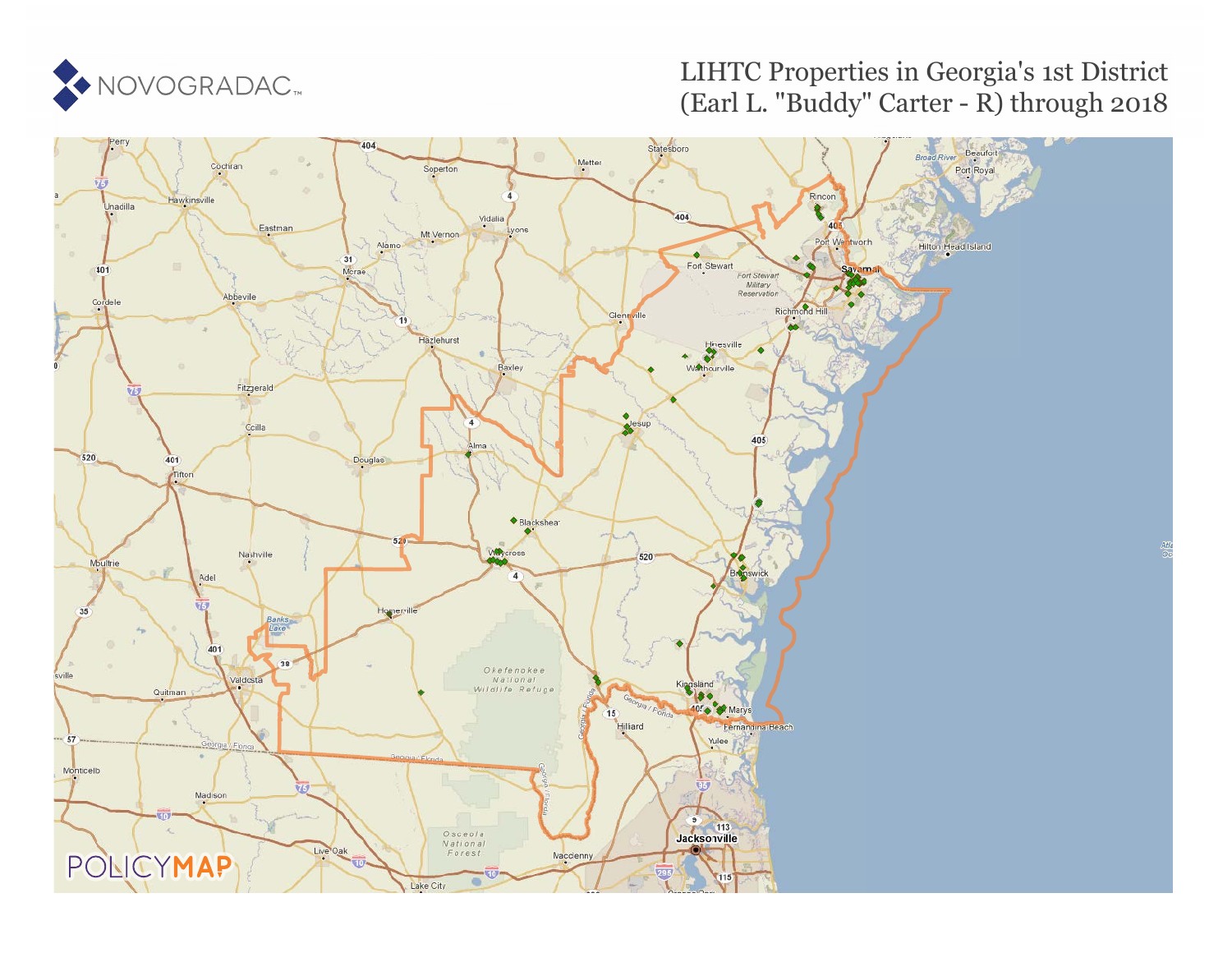

## LIHTC Properties in Georgia's 1st District (Earl L. "Buddy" Carter - R) through 2018

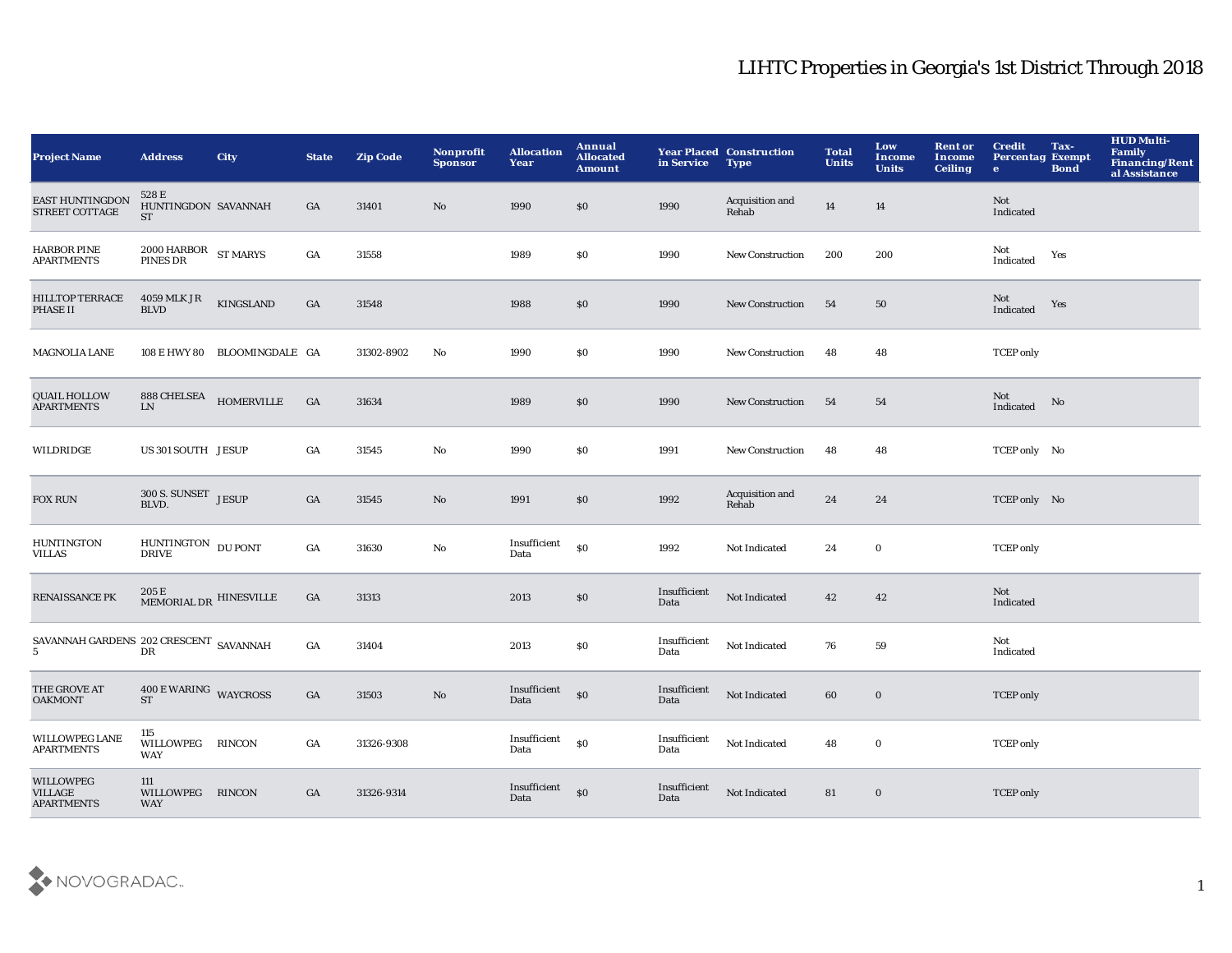| <b>Project Name</b>                                     | <b>Address</b>                                       | <b>City</b>                  | <b>State</b>     | <b>Zip Code</b> | Nonprofit<br><b>Sponsor</b> | <b>Allocation</b><br>Year | Annual<br><b>Allocated</b><br><b>Amount</b> | in Service           | <b>Year Placed Construction</b><br><b>Type</b> | <b>Total</b><br><b>Units</b> | Low<br><b>Income</b><br><b>Units</b> | <b>Rent or</b><br><b>Income</b><br><b>Ceiling</b> | <b>Credit</b><br><b>Percentag Exempt</b><br>$\bullet$ | Tax-<br><b>Bond</b> | <b>HUD Multi-</b><br>Family<br><b>Financing/Rent</b><br>al Assistance |
|---------------------------------------------------------|------------------------------------------------------|------------------------------|------------------|-----------------|-----------------------------|---------------------------|---------------------------------------------|----------------------|------------------------------------------------|------------------------------|--------------------------------------|---------------------------------------------------|-------------------------------------------------------|---------------------|-----------------------------------------------------------------------|
| EAST HUNTINGDON<br><b>STREET COTTAGE</b>                | 528 E<br>HUNTINGDON SAVANNAH<br><b>ST</b>            |                              | GA               | 31401           | No                          | 1990                      | \$0                                         | 1990                 | Acquisition and<br>Rehab                       | 14                           | 14                                   |                                                   | Not<br>Indicated                                      |                     |                                                                       |
| <b>HARBOR PINE</b><br><b>APARTMENTS</b>                 | $2000\,\mathrm{HARBOR}\quad$ ST MARYS PINES DR       |                              | GA               | 31558           |                             | 1989                      | \$0                                         | 1990                 | New Construction                               | 200                          | 200                                  |                                                   | Not<br>Indicated                                      | Yes                 |                                                                       |
| <b>HILLTOP TERRACE</b><br><b>PHASE II</b>               | 4059 MLK JR<br><b>BLVD</b>                           | KINGSLAND                    | GA               | 31548           |                             | 1988                      | \$0                                         | 1990                 | <b>New Construction</b>                        | 54                           | 50                                   |                                                   | Not<br>Indicated                                      | Yes                 |                                                                       |
| <b>MAGNOLIA LANE</b>                                    |                                                      | 108 E HWY 80 BLOOMINGDALE GA |                  | 31302-8902      | $\mathbf{No}$               | 1990                      | \$0                                         | 1990                 | New Construction                               | 48                           | 48                                   |                                                   | <b>TCEP</b> only                                      |                     |                                                                       |
| <b>QUAIL HOLLOW</b><br><b>APARTMENTS</b>                | $888\,\mbox{CHELSEA}\qquad$ HOMERVILLE<br>${\rm LN}$ |                              | GA               | 31634           |                             | 1989                      | \$0                                         | 1990                 | <b>New Construction</b>                        | 54                           | 54                                   |                                                   | Not<br>Indicated                                      | No                  |                                                                       |
| WILDRIDGE                                               | US 301 SOUTH JESUP                                   |                              | GA               | 31545           | $\mathbf{No}$               | 1990                      | \$0                                         | 1991                 | <b>New Construction</b>                        | 48                           | 48                                   |                                                   | TCEP only No                                          |                     |                                                                       |
| <b>FOX RUN</b>                                          | 300 S. SUNSET JESUP<br>BLVD.                         |                              | GA               | 31545           | No                          | 1991                      | \$0                                         | 1992                 | Acquisition and<br>Rehab                       | 24                           | 24                                   |                                                   | TCEP only No                                          |                     |                                                                       |
| <b>HUNTINGTON</b><br>VILLAS                             | HUNTINGTON DU PONT DRIVE                             |                              | GA               | 31630           | $\mathbf{No}$               | Insufficient<br>Data      | \$0                                         | 1992                 | Not Indicated                                  | 24                           | $\bf{0}$                             |                                                   | <b>TCEP</b> only                                      |                     |                                                                       |
| <b>RENAISSANCE PK</b>                                   | $205\,\mathrm{E}$ MEMORIAL DR $\,$ HINESVILLE $\,$   |                              | GA               | 31313           |                             | 2013                      | $\$0$                                       | Insufficient<br>Data | Not Indicated                                  | 42                           | 42                                   |                                                   | Not<br>Indicated                                      |                     |                                                                       |
|                                                         |                                                      |                              | $_{\mathrm{GA}}$ | 31404           |                             | 2013                      | \$0                                         | Insufficient<br>Data | Not Indicated                                  | 76                           | 59                                   |                                                   | Not<br>Indicated                                      |                     |                                                                       |
| THE GROVE AT<br><b>OAKMONT</b>                          | 400 E WARING WAYCROSS<br><b>ST</b>                   |                              | GA               | 31503           | $\mathbf{N}\mathbf{o}$      | Insufficient<br>Data      | $\mathbf{S}$                                | Insufficient<br>Data | Not Indicated                                  | 60                           | $\bf{0}$                             |                                                   | <b>TCEP</b> only                                      |                     |                                                                       |
| <b>WILLOWPEG LANE</b><br><b>APARTMENTS</b>              | 115<br>WILLOWPEG<br>WAY                              | <b>RINCON</b>                | GA               | 31326-9308      |                             | Insufficient<br>Data      | $\$0$                                       | Insufficient<br>Data | Not Indicated                                  | 48                           | $\mathbf 0$                          |                                                   | <b>TCEP</b> only                                      |                     |                                                                       |
| <b>WILLOWPEG</b><br><b>VILLAGE</b><br><b>APARTMENTS</b> | 111<br>WILLOWPEG RINCON<br><b>WAY</b>                |                              | GA               | 31326-9314      |                             | Insufficient<br>Data      | \$0                                         | Insufficient<br>Data | Not Indicated                                  | 81                           | $\bf{0}$                             |                                                   | <b>TCEP</b> only                                      |                     |                                                                       |

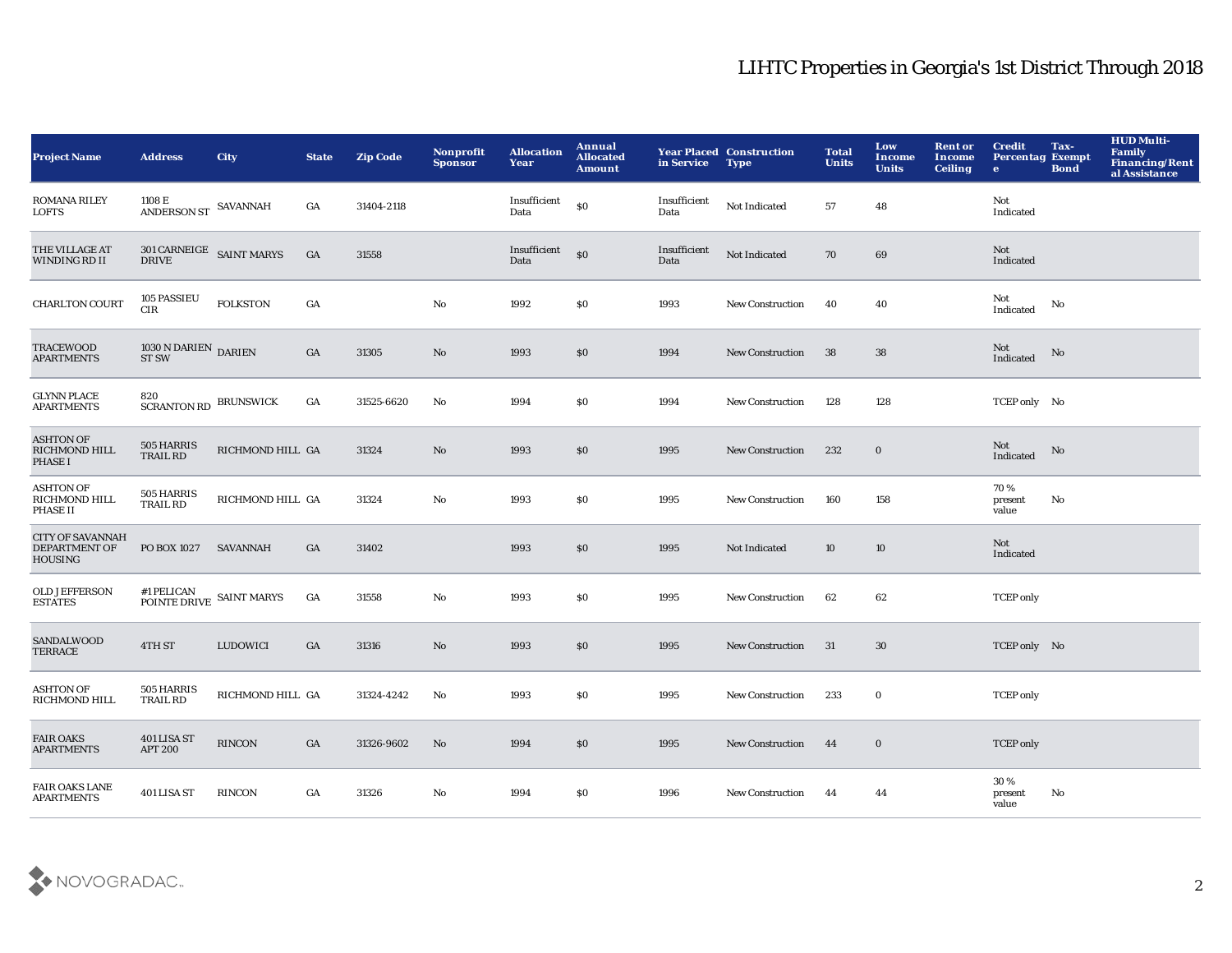| <b>Project Name</b>                                        | <b>Address</b>                                   | <b>City</b>      | <b>State</b>     | <b>Zip Code</b> | <b>Nonprofit</b><br><b>Sponsor</b> | <b>Allocation</b><br>Year | Annual<br><b>Allocated</b><br><b>Amount</b>      | in Service           | <b>Year Placed Construction</b><br><b>Type</b> | <b>Total</b><br><b>Units</b> | Low<br><b>Income</b><br><b>Units</b> | <b>Rent or</b><br><b>Income</b><br><b>Ceiling</b> | <b>Credit</b><br><b>Percentag Exempt</b><br>$\bullet$ | Tax-<br><b>Bond</b> | <b>HUD Multi-</b><br>Family<br>Financing/Rent<br>al Assistance |
|------------------------------------------------------------|--------------------------------------------------|------------------|------------------|-----------------|------------------------------------|---------------------------|--------------------------------------------------|----------------------|------------------------------------------------|------------------------------|--------------------------------------|---------------------------------------------------|-------------------------------------------------------|---------------------|----------------------------------------------------------------|
| <b>ROMANA RILEY</b><br>LOFTS                               | 1108 E<br>ANDERSON ST SAVANNAH                   |                  | GA               | 31404-2118      |                                    | Insufficient<br>Data      | \$0                                              | Insufficient<br>Data | Not Indicated                                  | 57                           | 48                                   |                                                   | Not<br>Indicated                                      |                     |                                                                |
| THE VILLAGE AT<br>WINDING RD II                            | $301$ CARNEIGE $\;$ SAINT MARYS DRIVE            |                  | $_{\mathrm{GA}}$ | 31558           |                                    | Insufficient<br>Data      | $\boldsymbol{\mathsf{S}}\boldsymbol{\mathsf{O}}$ | Insufficient<br>Data | Not Indicated                                  | 70                           | 69                                   |                                                   | Not<br>Indicated                                      |                     |                                                                |
| <b>CHARLTON COURT</b>                                      | 105 PASSIEU<br>CIR                               | <b>FOLKSTON</b>  | GA               |                 | $\rm No$                           | 1992                      | \$0                                              | 1993                 | <b>New Construction</b>                        | 40                           | 40                                   |                                                   | Not<br>Indicated                                      | No                  |                                                                |
| <b>TRACEWOOD</b><br><b>APARTMENTS</b>                      | $1030$ N DARIEN $\,$ DARIEN $\,$<br><b>ST SW</b> |                  | $_{\mathrm{GA}}$ | 31305           | No                                 | 1993                      | \$0                                              | 1994                 | New Construction                               | 38                           | 38                                   |                                                   | Not<br>Indicated                                      | No                  |                                                                |
| <b>GLYNN PLACE</b><br><b>APARTMENTS</b>                    | 820<br>SCRANTON RD BRUNSWICK                     |                  | GA               | 31525-6620      | $\mathbf{N}\mathbf{o}$             | 1994                      | \$0                                              | 1994                 | New Construction                               | 128                          | 128                                  |                                                   | TCEP only No                                          |                     |                                                                |
| <b>ASHTON OF</b><br>RICHMOND HILL<br><b>PHASE I</b>        | 505 HARRIS<br>TRAIL RD                           | RICHMOND HILL GA |                  | 31324           | No                                 | 1993                      | \$0                                              | 1995                 | <b>New Construction</b>                        | 232                          | $\bf{0}$                             |                                                   | Not<br>Indicated                                      | No                  |                                                                |
| <b>ASHTON OF</b><br>RICHMOND HILL<br>PHASE II              | 505 HARRIS<br><b>TRAIL RD</b>                    | RICHMOND HILL GA |                  | 31324           | No                                 | 1993                      | <b>SO</b>                                        | 1995                 | New Construction                               | 160                          | 158                                  |                                                   | 70%<br>present<br>value                               | No                  |                                                                |
| <b>CITY OF SAVANNAH</b><br>DEPARTMENT OF<br><b>HOUSING</b> | PO BOX 1027                                      | SAVANNAH         | GA               | 31402           |                                    | 1993                      | \$0                                              | 1995                 | Not Indicated                                  | 10                           | 10                                   |                                                   | Not<br>Indicated                                      |                     |                                                                |
| <b>OLD JEFFERSON</b><br><b>ESTATES</b>                     | $\#1$ PELICAN POINTE DRIVE SAINT MARYS           |                  | GA               | 31558           | $\mathbf{N}\mathbf{o}$             | 1993                      | \$0                                              | 1995                 | <b>New Construction</b>                        | 62                           | 62                                   |                                                   | <b>TCEP</b> only                                      |                     |                                                                |
| SANDALWOOD<br><b>TERRACE</b>                               | 4TH ST                                           | LUDOWICI         | GA               | 31316           | No                                 | 1993                      | \$0                                              | 1995                 | <b>New Construction</b>                        | 31                           | 30                                   |                                                   | TCEP only No                                          |                     |                                                                |
| <b>ASHTON OF</b><br>RICHMOND HILL                          | 505 HARRIS<br><b>TRAIL RD</b>                    | RICHMOND HILL GA |                  | 31324-4242      | No                                 | 1993                      | \$0                                              | 1995                 | <b>New Construction</b>                        | 233                          | $\mathbf 0$                          |                                                   | <b>TCEP</b> only                                      |                     |                                                                |
| <b>FAIR OAKS</b><br><b>APARTMENTS</b>                      | 401 LISA ST<br><b>APT 200</b>                    | RINCON           | GA               | 31326-9602      | No                                 | 1994                      | \$0                                              | 1995                 | <b>New Construction</b>                        | 44                           | $\bf{0}$                             |                                                   | <b>TCEP</b> only                                      |                     |                                                                |
| <b>FAIR OAKS LANE</b><br><b>APARTMENTS</b>                 | <b>401 LISA ST</b>                               | <b>RINCON</b>    | GA               | 31326           | No                                 | 1994                      | <b>SO</b>                                        | 1996                 | <b>New Construction</b>                        | 44                           | 44                                   |                                                   | 30%<br>present<br>value                               | No                  |                                                                |

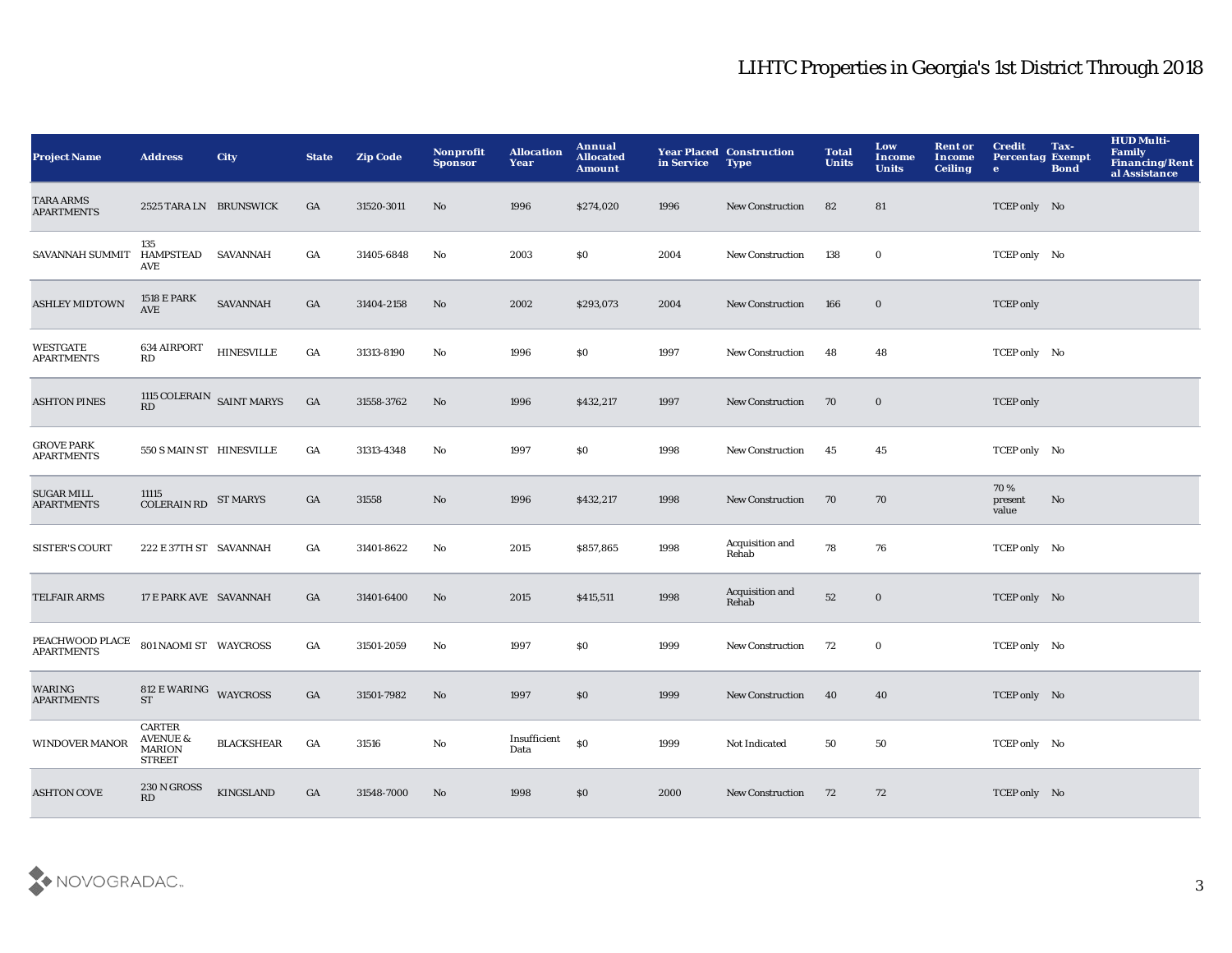| <b>Project Name</b>                    | <b>Address</b>                                                  | <b>City</b>       | <b>State</b>     | <b>Zip Code</b> | <b>Nonprofit</b><br><b>Sponsor</b> | <b>Allocation</b><br>Year | Annual<br><b>Allocated</b><br><b>Amount</b> | in Service | <b>Year Placed Construction</b><br><b>Type</b> | <b>Total</b><br><b>Units</b> | Low<br>Income<br><b>Units</b> | <b>Rent or</b><br><b>Income</b><br><b>Ceiling</b> | <b>Credit</b><br><b>Percentag Exempt</b><br>$\bullet$ | Tax-<br><b>Bond</b> | <b>HUD Multi-</b><br>Family<br><b>Financing/Rent</b><br>al Assistance |
|----------------------------------------|-----------------------------------------------------------------|-------------------|------------------|-----------------|------------------------------------|---------------------------|---------------------------------------------|------------|------------------------------------------------|------------------------------|-------------------------------|---------------------------------------------------|-------------------------------------------------------|---------------------|-----------------------------------------------------------------------|
| <b>TARA ARMS</b><br><b>APARTMENTS</b>  | 2525 TARA LN BRUNSWICK                                          |                   | GA               | 31520-3011      | No                                 | 1996                      | \$274,020                                   | 1996       | <b>New Construction</b>                        | 82                           | 81                            |                                                   | TCEP only No                                          |                     |                                                                       |
| SAVANNAH SUMMIT                        | 135<br>HAMPSTEAD SAVANNAH<br>AVE                                |                   | GA               | 31405-6848      | No                                 | 2003                      | <b>SO</b>                                   | 2004       | New Construction                               | 138                          | $\bf{0}$                      |                                                   | TCEP only No                                          |                     |                                                                       |
| <b>ASHLEY MIDTOWN</b>                  | 1518 E PARK<br><b>AVE</b>                                       | <b>SAVANNAH</b>   | GA               | 31404-2158      | No                                 | 2002                      | \$293,073                                   | 2004       | <b>New Construction</b>                        | 166                          | $\mathbf 0$                   |                                                   | <b>TCEP</b> only                                      |                     |                                                                       |
| <b>WESTGATE</b><br><b>APARTMENTS</b>   | 634 AIRPORT<br>RD                                               | <b>HINESVILLE</b> | $_{\mathrm{GA}}$ | 31313-8190      | No                                 | 1996                      | \$0                                         | 1997       | New Construction                               | 48                           | 48                            |                                                   | TCEP only No                                          |                     |                                                                       |
| <b>ASHTON PINES</b>                    | 1115 $\rm COLERAIN$ $\rm SAINT~MARYS$ RD                        |                   | GA               | 31558-3762      | No                                 | 1996                      | \$432,217                                   | 1997       | <b>New Construction</b>                        | 70                           | $\bf{0}$                      |                                                   | <b>TCEP</b> only                                      |                     |                                                                       |
| <b>GROVE PARK</b><br><b>APARTMENTS</b> | 550 S MAIN ST HINESVILLE                                        |                   | GA               | 31313-4348      | No                                 | 1997                      | \$0                                         | 1998       | New Construction                               | 45                           | 45                            |                                                   | TCEP only No                                          |                     |                                                                       |
| <b>SUGAR MILL</b><br><b>APARTMENTS</b> | 11115<br><b>COLERAIN RD</b>                                     | <b>ST MARYS</b>   | $_{\mathrm{GA}}$ | 31558           | No                                 | 1996                      | \$432,217                                   | 1998       | <b>New Construction</b>                        | 70                           | 70                            |                                                   | 70%<br>present<br>value                               | No                  |                                                                       |
| <b>SISTER'S COURT</b>                  | 222 E 37TH ST SAVANNAH                                          |                   | GA               | 31401-8622      | No                                 | 2015                      | \$857,865                                   | 1998       | Acquisition and<br>Rehab                       | 78                           | 76                            |                                                   | TCEP only No                                          |                     |                                                                       |
| <b>TELFAIR ARMS</b>                    | 17 E PARK AVE SAVANNAH                                          |                   | GA               | 31401-6400      | No                                 | 2015                      | \$415,511                                   | 1998       | Acquisition and<br>Rehab                       | ${\bf 52}$                   | $\mathbf 0$                   |                                                   | TCEP only No                                          |                     |                                                                       |
| PEACHWOOD PLACE<br><b>APARTMENTS</b>   | 801 NAOMI ST WAYCROSS                                           |                   | GA               | 31501-2059      | No                                 | 1997                      | \$0                                         | 1999       | <b>New Construction</b>                        | 72                           | $\bf{0}$                      |                                                   | TCEP only No                                          |                     |                                                                       |
| WARING<br><b>APARTMENTS</b>            | 812 E WARING WAYCROSS<br><b>ST</b>                              |                   | GA               | 31501-7982      | No                                 | 1997                      | \$0                                         | 1999       | <b>New Construction</b>                        | 40                           | 40                            |                                                   | TCEP only No                                          |                     |                                                                       |
| WINDOVER MANOR                         | CARTER<br><b>AVENUE &amp;</b><br><b>MARION</b><br><b>STREET</b> | <b>BLACKSHEAR</b> | $_{\mathrm{GA}}$ | 31516           | No                                 | Insufficient<br>Data      | \$0                                         | 1999       | Not Indicated                                  | 50                           | 50                            |                                                   | TCEP only No                                          |                     |                                                                       |
| <b>ASHTON COVE</b>                     | 230 N GROSS<br>RD                                               | <b>KINGSLAND</b>  | GA               | 31548-7000      | No                                 | 1998                      | \$0                                         | 2000       | <b>New Construction</b>                        | 72                           | 72                            |                                                   | TCEP only No                                          |                     |                                                                       |

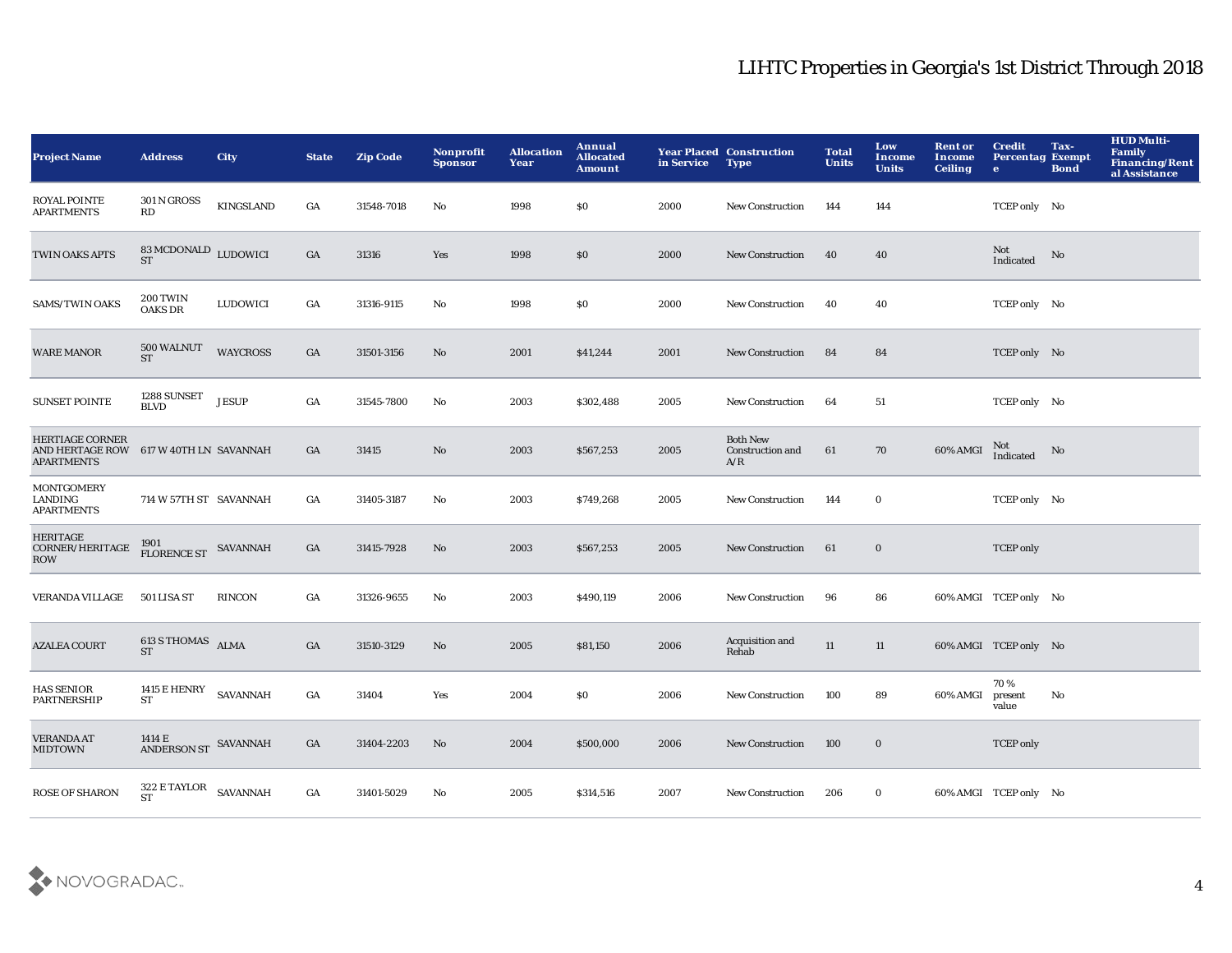| <b>Project Name</b>                                                   | <b>Address</b>                                   | <b>City</b>      | <b>State</b>     | <b>Zip Code</b> | <b>Nonprofit</b><br><b>Sponsor</b> | <b>Allocation</b><br>Year | Annual<br><b>Allocated</b><br><b>Amount</b> | in Service | <b>Year Placed Construction</b><br><b>Type</b> | <b>Total</b><br><b>Units</b> | Low<br>Income<br><b>Units</b> | <b>Rent or</b><br>Income<br><b>Ceiling</b> | <b>Credit</b><br><b>Percentag Exempt</b><br>$\bullet$ | Tax-<br><b>Bond</b>    | <b>HUD Multi-</b><br>Family<br>Financing/Rent<br>al Assistance |
|-----------------------------------------------------------------------|--------------------------------------------------|------------------|------------------|-----------------|------------------------------------|---------------------------|---------------------------------------------|------------|------------------------------------------------|------------------------------|-------------------------------|--------------------------------------------|-------------------------------------------------------|------------------------|----------------------------------------------------------------|
| <b>ROYAL POINTE</b><br><b>APARTMENTS</b>                              | <b>301 N GROSS</b><br>RD                         | <b>KINGSLAND</b> | GA               | 31548-7018      | No                                 | 1998                      | <b>SO</b>                                   | 2000       | <b>New Construction</b>                        | 144                          | 144                           |                                            | TCEP only No                                          |                        |                                                                |
| TWIN OAKS APTS                                                        | $83\,\mathrm{MCDONALD}$ <code>LUDOWICI</code> ST |                  | GA               | 31316           | Yes                                | 1998                      | \$0                                         | 2000       | New Construction                               | 40                           | 40                            |                                            | Not<br>Indicated                                      | $\mathbf{N}\mathbf{o}$ |                                                                |
| <b>SAMS/TWIN OAKS</b>                                                 | <b>200 TWIN</b><br><b>OAKS DR</b>                | LUDOWICI         | GA               | 31316-9115      | $\mathbf{N}\mathbf{o}$             | 1998                      | \$0                                         | 2000       | <b>New Construction</b>                        | 40                           | 40                            |                                            | TCEP only No                                          |                        |                                                                |
| <b>WARE MANOR</b>                                                     | 500 WALNUT<br><b>ST</b>                          | <b>WAYCROSS</b>  | $_{\mathrm{GA}}$ | 31501-3156      | $\rm No$                           | 2001                      | \$41,244                                    | 2001       | <b>New Construction</b>                        | 84                           | 84                            |                                            | TCEP only No                                          |                        |                                                                |
| <b>SUNSET POINTE</b>                                                  | 1288 SUNSET<br><b>BLVD</b>                       | <b>JESUP</b>     | $_{\mathrm{GA}}$ | 31545-7800      | $\mathbf{N}\mathbf{o}$             | 2003                      | \$302,488                                   | 2005       | New Construction                               | 64                           | 51                            |                                            | TCEP only No                                          |                        |                                                                |
| <b>HERTIAGE CORNER</b><br><b>AND HERTAGE ROW</b><br><b>APARTMENTS</b> | 617 W 40TH LN SAVANNAH                           |                  | GA               | 31415           | No                                 | 2003                      | \$567,253                                   | 2005       | <b>Both New</b><br>Construction and<br>A/R     | 61                           | 70                            | 60% AMGI                                   | Not<br>Indicated                                      | No                     |                                                                |
| <b>MONTGOMERY</b><br>LANDING<br><b>APARTMENTS</b>                     | 714 W 57TH ST SAVANNAH                           |                  | GA               | 31405-3187      | No                                 | 2003                      | \$749,268                                   | 2005       | <b>New Construction</b>                        | 144                          | $\bf{0}$                      |                                            | TCEP only No                                          |                        |                                                                |
| <b>HERITAGE</b><br>CORNER/HERITAGE<br><b>ROW</b>                      | 1901<br>FLORENCE ST SAVANNAH                     |                  | GA               | 31415-7928      | No                                 | 2003                      | \$567,253                                   | 2005       | New Construction                               | 61                           | $\bf{0}$                      |                                            | <b>TCEP</b> only                                      |                        |                                                                |
| <b>VERANDA VILLAGE</b>                                                | 501 LISA ST                                      | <b>RINCON</b>    | GA               | 31326-9655      | No                                 | 2003                      | \$490,119                                   | 2006       | New Construction                               | 96                           | 86                            |                                            | 60% AMGI TCEP only No                                 |                        |                                                                |
| <b>AZALEA COURT</b>                                                   | 613 S THOMAS ALMA<br><b>ST</b>                   |                  | GA               | 31510-3129      | No                                 | 2005                      | \$81,150                                    | 2006       | Acquisition and<br>Rehab                       | 11                           | 11                            |                                            | 60% AMGI TCEP only No                                 |                        |                                                                |
| <b>HAS SENIOR</b><br><b>PARTNERSHIP</b>                               | 1415 $\rm E\, HERY-SAVANNAH$<br><b>ST</b>        |                  | GA               | 31404           | Yes                                | 2004                      | <b>SO</b>                                   | 2006       | <b>New Construction</b>                        | 100                          | 89                            | 60% AMGI                                   | 70 %<br>present<br>value                              | No                     |                                                                |
| <b>VERANDA AT</b><br>MIDTOWN                                          | 1414 E<br>ANDERSON ST SAVANNAH                   |                  | GA               | 31404-2203      | No                                 | 2004                      | \$500,000                                   | 2006       | <b>New Construction</b>                        | 100                          | $\bf{0}$                      |                                            | <b>TCEP</b> only                                      |                        |                                                                |
| <b>ROSE OF SHARON</b>                                                 | $322\to\mathrm{TAYLOR}$ SAVANNAH<br><b>ST</b>    |                  | GA               | 31401-5029      | No                                 | 2005                      | \$314,516                                   | 2007       | <b>New Construction</b>                        | 206                          | $\bf{0}$                      |                                            | 60% AMGI TCEP only No                                 |                        |                                                                |

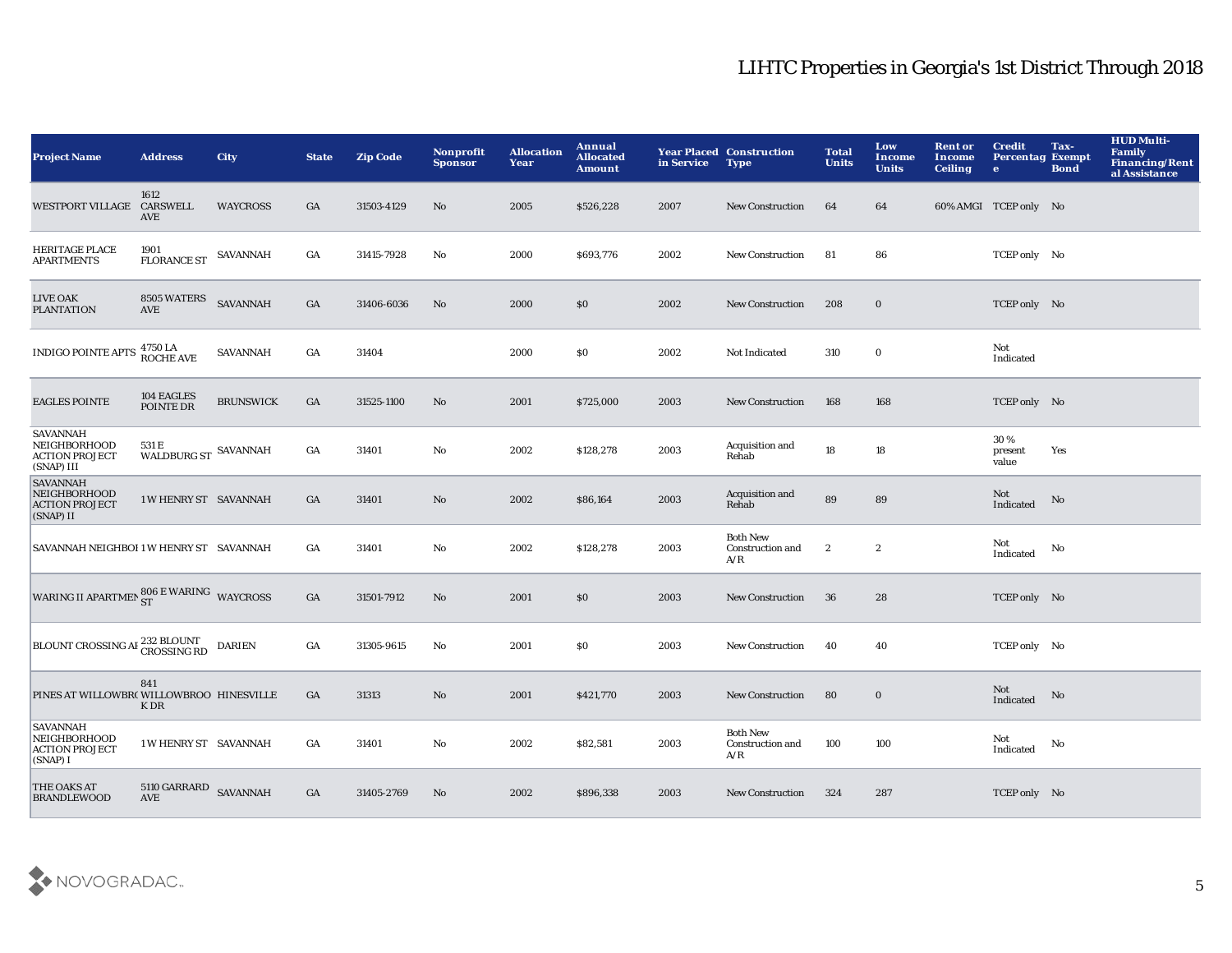| <b>Project Name</b>                                                    | <b>Address</b>                      | <b>City</b>      | <b>State</b>     | <b>Zip Code</b> | <b>Nonprofit</b><br><b>Sponsor</b> | <b>Allocation</b><br>Year | Annual<br><b>Allocated</b><br><b>Amount</b> | in Service | <b>Year Placed Construction</b><br><b>Type</b> | <b>Total</b><br><b>Units</b> | Low<br><b>Income</b><br><b>Units</b> | <b>Rent or</b><br>Income<br><b>Ceiling</b> | <b>Credit</b><br><b>Percentag Exempt</b><br>$\bullet$ | Tax-<br><b>Bond</b> | <b>HUD Multi-</b><br>Family<br>Financing/Rent<br>al Assistance |
|------------------------------------------------------------------------|-------------------------------------|------------------|------------------|-----------------|------------------------------------|---------------------------|---------------------------------------------|------------|------------------------------------------------|------------------------------|--------------------------------------|--------------------------------------------|-------------------------------------------------------|---------------------|----------------------------------------------------------------|
| WESTPORT VILLAGE CARSWELL                                              | 1612<br>AVE                         | <b>WAYCROSS</b>  | GA               | 31503-4129      | No                                 | 2005                      | \$526,228                                   | 2007       | <b>New Construction</b>                        | 64                           | 64                                   |                                            | 60% AMGI TCEP only No                                 |                     |                                                                |
| <b>HERITAGE PLACE</b><br><b>APARTMENTS</b>                             | 1901<br><b>FLORANCE ST</b>          | SAVANNAH         | $_{\mathrm{GA}}$ | 31415-7928      | $\rm No$                           | 2000                      | \$693,776                                   | 2002       | New Construction                               | 81                           | 86                                   |                                            | TCEP only No                                          |                     |                                                                |
| <b>LIVE OAK</b><br><b>PLANTATION</b>                                   | 8505 WATERS<br>AVE                  | <b>SAVANNAH</b>  | GA               | 31406-6036      | No                                 | 2000                      | \$0                                         | 2002       | <b>New Construction</b>                        | 208                          | $\bf{0}$                             |                                            | TCEP only No                                          |                     |                                                                |
| <b>INDIGO POINTE APTS</b>                                              | 4750 LA<br>ROCHE AVE                | <b>SAVANNAH</b>  | $_{\mathrm{GA}}$ | 31404           |                                    | 2000                      | \$0                                         | 2002       | Not Indicated                                  | 310                          | $\mathbf 0$                          |                                            | Not<br>Indicated                                      |                     |                                                                |
| <b>EAGLES POINTE</b>                                                   | 104 EAGLES<br>POINTE DR             | <b>BRUNSWICK</b> | $_{\mathrm{GA}}$ | 31525-1100      | $\mathbf{N}\mathbf{o}$             | 2001                      | \$725,000                                   | 2003       | New Construction                               | 168                          | 168                                  |                                            | TCEP only No                                          |                     |                                                                |
| <b>SAVANNAH</b><br>NEIGHBORHOOD<br><b>ACTION PROJECT</b><br>(SNAP) III | 531 E<br>WALDBURG ST $\,$ SAVANNAH  |                  | GA               | 31401           | No                                 | 2002                      | \$128,278                                   | 2003       | Acquisition and<br>Rehab                       | 18                           | 18                                   |                                            | 30%<br>present<br>value                               | Yes                 |                                                                |
| <b>SAVANNAH</b><br>NEIGHBORHOOD<br><b>ACTION PROJECT</b><br>(SNAP) II  | 1 W HENRY ST SAVANNAH               |                  | GA               | 31401           | $\mathbf{N}\mathbf{o}$             | 2002                      | \$86,164                                    | 2003       | Acquisition and<br>Rehab                       | ${\bf 89}$                   | 89                                   |                                            | Not<br>Indicated                                      | No                  |                                                                |
| SAVANNAH NEIGHBOI 1 W HENRY ST SAVANNAH                                |                                     |                  | GA               | 31401           | No                                 | 2002                      | \$128,278                                   | 2003       | <b>Both New</b><br>Construction and<br>A/R     | $\boldsymbol{2}$             | $\boldsymbol{2}$                     |                                            | Not<br>Indicated                                      | No                  |                                                                |
| WARING II APARTMEN SO6 E WARING WAYCROSS                               |                                     |                  | $_{\mathrm{GA}}$ | 31501-7912      | $\mathbf{N}\mathbf{o}$             | 2001                      | \$0                                         | 2003       | <b>New Construction</b>                        | 36                           | 28                                   |                                            | TCEP only No                                          |                     |                                                                |
| <b>BLOUNT CROSSING AF 232 BLOUNT</b>                                   |                                     | <b>DARIEN</b>    | $_{\mathrm{GA}}$ | 31305-9615      | No                                 | 2001                      | <b>SO</b>                                   | 2003       | <b>New Construction</b>                        | 40                           | 40                                   |                                            | TCEP only No                                          |                     |                                                                |
| PINES AT WILLOWBR(WILLOWBROO HINESVILLE                                | 841<br><b>KDR</b>                   |                  | GA               | 31313           | $\mathbf{N}\mathbf{o}$             | 2001                      | \$421,770                                   | 2003       | <b>New Construction</b>                        | 80                           | $\mathbf 0$                          |                                            | Not<br>Indicated                                      | No                  |                                                                |
| <b>SAVANNAH</b><br>NEIGHBORHOOD<br><b>ACTION PROJECT</b><br>(SNAP) I   | 1 W HENRY ST SAVANNAH               |                  | GA               | 31401           | No                                 | 2002                      | \$82,581                                    | 2003       | <b>Both New</b><br>Construction and<br>A/R     | 100                          | 100                                  |                                            | Not<br>Indicated                                      | No                  |                                                                |
| <b>THE OAKS AT</b><br><b>BRANDLEWOOD</b>                               | $5110$ GARRARD $\;$ SAVANNAH<br>AVE |                  | GA               | 31405-2769      | No                                 | 2002                      | \$896,338                                   | 2003       | <b>New Construction</b>                        | 324                          | 287                                  |                                            | TCEP only No                                          |                     |                                                                |

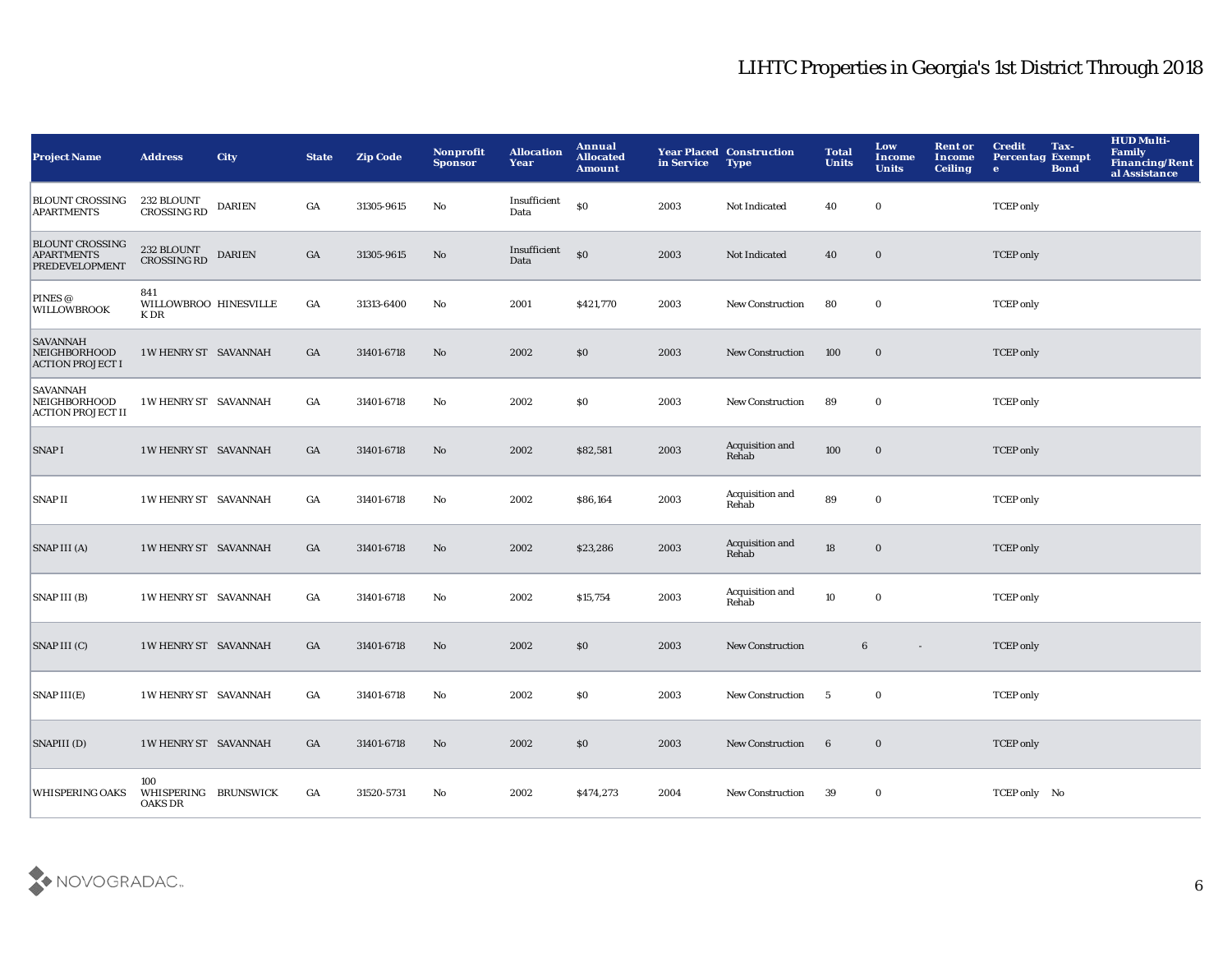| <b>Project Name</b>                                           | <b>Address</b>                                | <b>City</b>   | <b>State</b>     | <b>Zip Code</b> | <b>Nonprofit</b><br><b>Sponsor</b> | <b>Allocation</b><br>Year | Annual<br><b>Allocated</b><br><b>Amount</b> | in Service | <b>Year Placed Construction</b><br><b>Type</b> | <b>Total</b><br><b>Units</b> | Low<br>Income<br><b>Units</b> | <b>Rent or</b><br>Income<br><b>Ceiling</b> | <b>Credit</b><br><b>Percentag Exempt</b><br>$\bullet$ | Tax-<br><b>Bond</b> | <b>HUD Multi-</b><br><b>Family</b><br><b>Financing/Rent</b><br>al Assistance |
|---------------------------------------------------------------|-----------------------------------------------|---------------|------------------|-----------------|------------------------------------|---------------------------|---------------------------------------------|------------|------------------------------------------------|------------------------------|-------------------------------|--------------------------------------------|-------------------------------------------------------|---------------------|------------------------------------------------------------------------------|
| <b>BLOUNT CROSSING</b><br><b>APARTMENTS</b>                   | 232 BLOUNT<br><b>CROSSING RD</b>              | <b>DARIEN</b> | GA               | 31305-9615      | No                                 | Insufficient<br>Data      | \$0                                         | 2003       | Not Indicated                                  | 40                           | $\mathbf 0$                   |                                            | <b>TCEP</b> only                                      |                     |                                                                              |
| <b>BLOUNT CROSSING</b><br><b>APARTMENTS</b><br>PREDEVELOPMENT | $232\ \mathrm{BLOUNT}$<br><b>CROSSING RD</b>  | <b>DARIEN</b> | $_{\mathrm{GA}}$ | 31305-9615      | No                                 | Insufficient<br>Data      | $\boldsymbol{\mathsf{S}}$                   | 2003       | Not Indicated                                  | 40                           | $\bf{0}$                      |                                            | <b>TCEP</b> only                                      |                     |                                                                              |
| PINES @<br><b>WILLOWBROOK</b>                                 | 841<br>WILLOWBROO HINESVILLE<br>K DR          |               | $_{\mathrm{GA}}$ | 31313-6400      | $\mathbf {No}$                     | 2001                      | \$421,770                                   | 2003       | <b>New Construction</b>                        | 80                           | $\mathbf 0$                   |                                            | <b>TCEP</b> only                                      |                     |                                                                              |
| <b>SAVANNAH</b><br>NEIGHBORHOOD<br><b>ACTION PROJECT I</b>    | 1 W HENRY ST SAVANNAH                         |               | GA               | 31401-6718      | No                                 | 2002                      | \$0                                         | 2003       | New Construction                               | 100                          | $\mathbf 0$                   |                                            | <b>TCEP</b> only                                      |                     |                                                                              |
| SAVANNAH<br>NEIGHBORHOOD<br><b>ACTION PROJECT II</b>          | 1 W HENRY ST SAVANNAH                         |               | GA               | 31401-6718      | No                                 | 2002                      | \$0                                         | 2003       | New Construction                               | 89                           | $\mathbf 0$                   |                                            | <b>TCEP</b> only                                      |                     |                                                                              |
| <b>SNAPI</b>                                                  | 1 W HENRY ST SAVANNAH                         |               | GA               | 31401-6718      | No                                 | 2002                      | \$82,581                                    | 2003       | Acquisition and<br>Rehab                       | 100                          | $\mathbf 0$                   |                                            | <b>TCEP</b> only                                      |                     |                                                                              |
| <b>SNAPII</b>                                                 | 1 W HENRY ST SAVANNAH                         |               | GA               | 31401-6718      | No                                 | 2002                      | \$86,164                                    | 2003       | Acquisition and<br>Rehab                       | 89                           | $\bf{0}$                      |                                            | <b>TCEP</b> only                                      |                     |                                                                              |
| SNAP III (A)                                                  | 1 W HENRY ST SAVANNAH                         |               | GA               | 31401-6718      | No                                 | 2002                      | \$23,286                                    | 2003       | Acquisition and<br>Rehab                       | 18                           | $\mathbf 0$                   |                                            | <b>TCEP</b> only                                      |                     |                                                                              |
| SNAP III (B)                                                  | 1 W HENRY ST SAVANNAH                         |               | GA               | 31401-6718      | No                                 | 2002                      | \$15,754                                    | 2003       | Acquisition and<br>Rehab                       | 10                           | $\mathbf 0$                   |                                            | <b>TCEP</b> only                                      |                     |                                                                              |
| SNAP III (C)                                                  | 1 W HENRY ST SAVANNAH                         |               | GA               | 31401-6718      | No                                 | 2002                      | \$0                                         | 2003       | New Construction                               | $6\phantom{1}$               | $\overline{\phantom{a}}$      |                                            | <b>TCEP</b> only                                      |                     |                                                                              |
| $SNAP$ $III(E)$                                               | 1 W HENRY ST SAVANNAH                         |               | GA               | 31401-6718      | No                                 | 2002                      | \$0                                         | 2003       | <b>New Construction</b>                        | 5                            | $\mathbf 0$                   |                                            | <b>TCEP</b> only                                      |                     |                                                                              |
| SNAPIII (D)                                                   | 1 W HENRY ST SAVANNAH                         |               | GA               | 31401-6718      | No                                 | 2002                      | \$0                                         | 2003       | <b>New Construction</b>                        | $\boldsymbol{6}$             | $\boldsymbol{0}$              |                                            | <b>TCEP</b> only                                      |                     |                                                                              |
| <b>WHISPERING OAKS</b>                                        | 100<br>WHISPERING BRUNSWICK<br><b>OAKS DR</b> |               | GA               | 31520-5731      | No                                 | 2002                      | \$474,273                                   | 2004       | <b>New Construction</b>                        | 39                           | $\bf{0}$                      |                                            | TCEP only No                                          |                     |                                                                              |

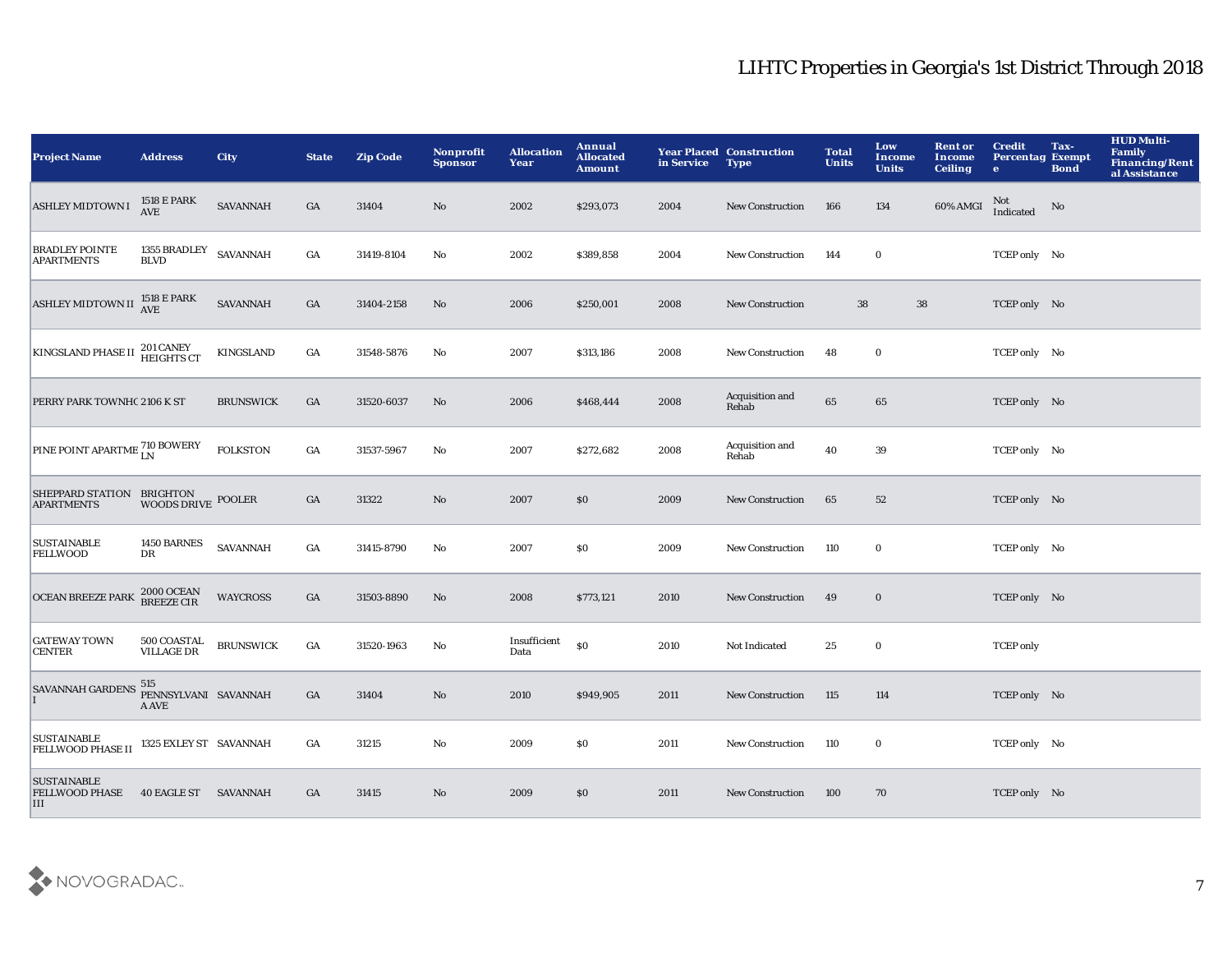| <b>Project Name</b>                                              | <b>Address</b>                          | <b>City</b>      | <b>State</b>     | <b>Zip Code</b> | Nonprofit<br><b>Sponsor</b> | <b>Allocation</b><br>Year | <b>Annual</b><br><b>Allocated</b><br><b>Amount</b> | in Service | <b>Year Placed Construction</b><br><b>Type</b> | <b>Total</b><br><b>Units</b> | Low<br>Income<br><b>Units</b> | <b>Rent or</b><br>Income<br><b>Ceiling</b> | <b>Credit</b><br><b>Percentag Exempt</b><br>$\bullet$ | Tax-<br><b>Bond</b> | <b>HUD Multi-</b><br>Family<br><b>Financing/Rent</b><br>al Assistance |
|------------------------------------------------------------------|-----------------------------------------|------------------|------------------|-----------------|-----------------------------|---------------------------|----------------------------------------------------|------------|------------------------------------------------|------------------------------|-------------------------------|--------------------------------------------|-------------------------------------------------------|---------------------|-----------------------------------------------------------------------|
| <b>ASHLEY MIDTOWN I</b>                                          | 1518 E PARK<br><b>AVE</b>               | <b>SAVANNAH</b>  | GA               | 31404           | No                          | 2002                      | \$293,073                                          | 2004       | <b>New Construction</b>                        | 166                          | 134                           | 60% AMGI                                   | Not<br>Indicated                                      | No                  |                                                                       |
| <b>BRADLEY POINTE</b><br><b>APARTMENTS</b>                       | 1355 BRADLEY<br>BLVD                    | <b>SAVANNAH</b>  | $_{\mathrm{GA}}$ | 31419-8104      | $\mathbf {No}$              | 2002                      | \$389,858                                          | 2004       | <b>New Construction</b>                        | 144                          | $\bf{0}$                      |                                            | TCEP only No                                          |                     |                                                                       |
| <b>ASHLEY MIDTOWN II</b>                                         | 1518 E PARK<br>AVE                      | <b>SAVANNAH</b>  | $_{\mathrm{GA}}$ | 31404-2158      | No                          | 2006                      | \$250,001                                          | 2008       | <b>New Construction</b>                        | 38                           | ${\bf 38}$                    |                                            | TCEP only No                                          |                     |                                                                       |
| KINGSLAND PHASE II 201 CANEY                                     |                                         | <b>KINGSLAND</b> | $_{\mathrm{GA}}$ | 31548-5876      | No                          | 2007                      | \$313,186                                          | 2008       | <b>New Construction</b>                        | 48                           | $\bf{0}$                      |                                            | TCEP only No                                          |                     |                                                                       |
| PERRY PARK TOWNHC 2106 K ST                                      |                                         | <b>BRUNSWICK</b> | GA               | 31520-6037      | No                          | 2006                      | \$468,444                                          | 2008       | Acquisition and<br>Rehab                       | 65                           | 65                            |                                            | TCEP only No                                          |                     |                                                                       |
| PINE POINT APARTME <sup>710</sup> BOWERY                         |                                         | <b>FOLKSTON</b>  | GA               | 31537-5967      | No                          | 2007                      | \$272,682                                          | 2008       | Acquisition and<br>Rehab                       | 40                           | 39                            |                                            | TCEP only No                                          |                     |                                                                       |
| SHEPPARD STATION BRIGHTON<br><b>APARTMENTS</b>                   | <b>WOODS DRIVE</b>                      | <b>POOLER</b>    | GA               | 31322           | No                          | 2007                      | \$0                                                | 2009       | <b>New Construction</b>                        | 65                           | 52                            |                                            | TCEP only No                                          |                     |                                                                       |
| <b>SUSTAINABLE</b><br><b>FELLWOOD</b>                            | 1450 BARNES<br>DR                       | <b>SAVANNAH</b>  | GA               | 31415-8790      | No                          | 2007                      | \$0                                                | 2009       | <b>New Construction</b>                        | 110                          | $\bf{0}$                      |                                            | TCEP only No                                          |                     |                                                                       |
| <b>OCEAN BREEZE PARK</b>                                         | $2\,000$ OCEAN BREEZE CIR               | <b>WAYCROSS</b>  | GA               | 31503-8890      | No                          | 2008                      | \$773,121                                          | 2010       | <b>New Construction</b>                        | 49                           | $\bf{0}$                      |                                            | TCEP only No                                          |                     |                                                                       |
| <b>GATEWAY TOWN</b><br><b>CENTER</b>                             | <b>500 COASTAL</b><br><b>VILLAGE DR</b> | <b>BRUNSWICK</b> | $_{\mathrm{GA}}$ | 31520-1963      | No                          | Insufficient<br>Data      | \$0                                                | 2010       | Not Indicated                                  | 25                           | $\bf{0}$                      |                                            | <b>TCEP</b> only                                      |                     |                                                                       |
| SAVANNAH GARDENS 515 PENNSYLVANI SAVANNAH                        | A AVE                                   |                  | $_{\mathrm{GA}}$ | 31404           | No                          | 2010                      | \$949,905                                          | 2011       | <b>New Construction</b>                        | 115                          | 114                           |                                            | TCEP only No                                          |                     |                                                                       |
| <b>SUSTAINABLE</b><br><b>FELLWOOD PHASE II</b>                   | 1325 EXLEY ST SAVANNAH                  |                  | GA               | 31215           | No                          | 2009                      | \$0                                                | 2011       | <b>New Construction</b>                        | 110                          | $\bf{0}$                      |                                            | TCEP only No                                          |                     |                                                                       |
| <b>SUSTAINABLE</b><br>FELLWOOD PHASE 40 EAGLE ST SAVANNAH<br>III |                                         |                  | GA               | 31415           | No                          | 2009                      | \$0                                                | 2011       | <b>New Construction</b>                        | 100                          | 70                            |                                            | TCEP only No                                          |                     |                                                                       |

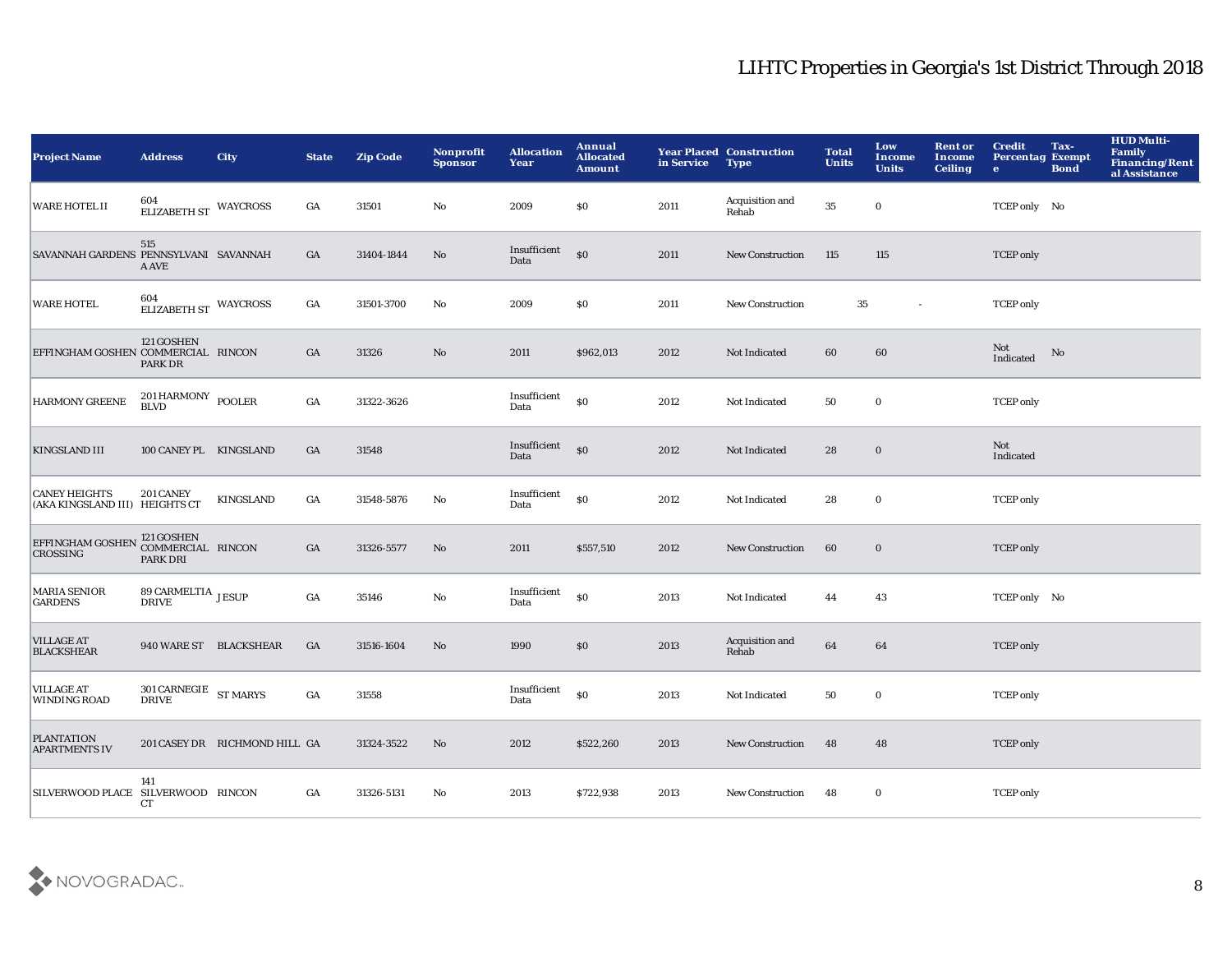| <b>Project Name</b>                                                            | <b>Address</b>                          | <b>City</b>                   | <b>State</b>     | <b>Zip Code</b> | Nonprofit<br><b>Sponsor</b> | <b>Allocation</b><br>Year | Annual<br><b>Allocated</b><br><b>Amount</b> | in Service | <b>Year Placed Construction</b><br><b>Type</b> | <b>Total</b><br><b>Units</b> | Low<br><b>Income</b><br><b>Units</b> | <b>Rent or</b><br>Income<br><b>Ceiling</b> | <b>Credit</b><br><b>Percentag Exempt</b><br>$\bullet$ | Tax-<br><b>Bond</b> | <b>HUD Multi-</b><br><b>Family</b><br><b>Financing/Rent</b><br>al Assistance |
|--------------------------------------------------------------------------------|-----------------------------------------|-------------------------------|------------------|-----------------|-----------------------------|---------------------------|---------------------------------------------|------------|------------------------------------------------|------------------------------|--------------------------------------|--------------------------------------------|-------------------------------------------------------|---------------------|------------------------------------------------------------------------------|
| <b>WARE HOTEL II</b>                                                           | $604 \, \, \mathrm{ELIZABETH}$ WAYCROSS |                               | GA               | 31501           | No                          | 2009                      | $\$0$                                       | 2011       | Acquisition and<br>Rehab                       | $35\,$                       | $\mathbf 0$                          |                                            | TCEP only No                                          |                     |                                                                              |
| SAVANNAH GARDENS PENNSYLVANI SAVANNAH                                          | 515<br>A AVE                            |                               | GA               | 31404-1844      | $\rm No$                    | Insufficient<br>Data      | S <sub>0</sub>                              | 2011       | New Construction                               | 115                          | 115                                  |                                            | <b>TCEP</b> only                                      |                     |                                                                              |
| <b>WARE HOTEL</b>                                                              | 604<br>ELIZABETH ST WAYCROSS            |                               | GA               | 31501-3700      | No                          | 2009                      | \$0                                         | 2011       | <b>New Construction</b>                        | 35                           | $\sim$                               |                                            | <b>TCEP</b> only                                      |                     |                                                                              |
| EFFINGHAM GOSHEN COMMERCIAL RINCON                                             | 121 GOSHEN<br>PARK DR                   |                               | GA               | 31326           | $\mathbf{N}\mathbf{o}$      | 2011                      | \$962,013                                   | 2012       | Not Indicated                                  | 60                           | 60                                   |                                            | Not<br>Indicated                                      | No                  |                                                                              |
| <b>HARMONY GREENE</b>                                                          | $201\,\mbox{HARMONY}$ POOLER BLVD       |                               | $_{\mathrm{GA}}$ | 31322-3626      |                             | Insufficient<br>Data      | \$0                                         | 2012       | Not Indicated                                  | 50                           | $\bf{0}$                             |                                            | <b>TCEP</b> only                                      |                     |                                                                              |
| <b>KINGSLAND III</b>                                                           | 100 CANEY PL KINGSLAND                  |                               | GA               | 31548           |                             | Insufficient<br>Data      | S <sub>0</sub>                              | 2012       | Not Indicated                                  | 28                           | $\bf{0}$                             |                                            | Not<br>Indicated                                      |                     |                                                                              |
| <b>CANEY HEIGHTS</b><br>(AKA KINGSLAND III) HEIGHTS CT                         | 201 CANEY                               | KINGSLAND                     | GA               | 31548-5876      | No                          | Insufficient<br>Data      | $\$0$                                       | 2012       | Not Indicated                                  | 28                           | $\bf{0}$                             |                                            | <b>TCEP</b> only                                      |                     |                                                                              |
| EFFINGHAM GOSHEN <sup>121</sup> GOSHEN<br>COMMERCIAL RINCON<br><b>CROSSING</b> | <b>PARK DRI</b>                         |                               | GA               | 31326-5577      | $\mathbf{N}\mathbf{o}$      | 2011                      | \$557,510                                   | 2012       | <b>New Construction</b>                        | 60                           | $\bf{0}$                             |                                            | <b>TCEP</b> only                                      |                     |                                                                              |
| <b>MARIA SENIOR</b><br><b>GARDENS</b>                                          | $89$ CARMELTIA $\,$ JESUP DRIVE         |                               | GA               | 35146           | $\mathbf{N}\mathbf{o}$      | Insufficient<br>Data      | $\$0$                                       | 2013       | Not Indicated                                  | 44                           | 43                                   |                                            | TCEP only No                                          |                     |                                                                              |
| <b>VILLAGE AT</b><br><b>BLACKSHEAR</b>                                         | 940 WARE ST BLACKSHEAR                  |                               | GA               | 31516-1604      | $\mathbf{No}$               | 1990                      | \$0                                         | 2013       | Acquisition and<br>Rehab                       | 64                           | 64                                   |                                            | <b>TCEP</b> only                                      |                     |                                                                              |
| <b>VILLAGE AT</b><br><b>WINDING ROAD</b>                                       | $301$ CARNEGIE $\,$ ST MARYS DRIVE      |                               | $_{\mathrm{GA}}$ | 31558           |                             | Insufficient<br>Data      | \$0                                         | 2013       | Not Indicated                                  | 50                           | $\mathbf 0$                          |                                            | <b>TCEP</b> only                                      |                     |                                                                              |
| <b>PLANTATION</b><br><b>APARTMENTS IV</b>                                      |                                         | 201 CASEY DR RICHMOND HILL GA |                  | 31324-3522      | No                          | 2012                      | \$522,260                                   | 2013       | <b>New Construction</b>                        | 48                           | 48                                   |                                            | <b>TCEP</b> only                                      |                     |                                                                              |
| SILVERWOOD PLACE SILVERWOOD RINCON                                             | 141<br><b>CT</b>                        |                               | GA               | 31326-5131      | No                          | 2013                      | \$722,938                                   | 2013       | <b>New Construction</b>                        | 48                           | $\bf{0}$                             |                                            | <b>TCEP</b> only                                      |                     |                                                                              |

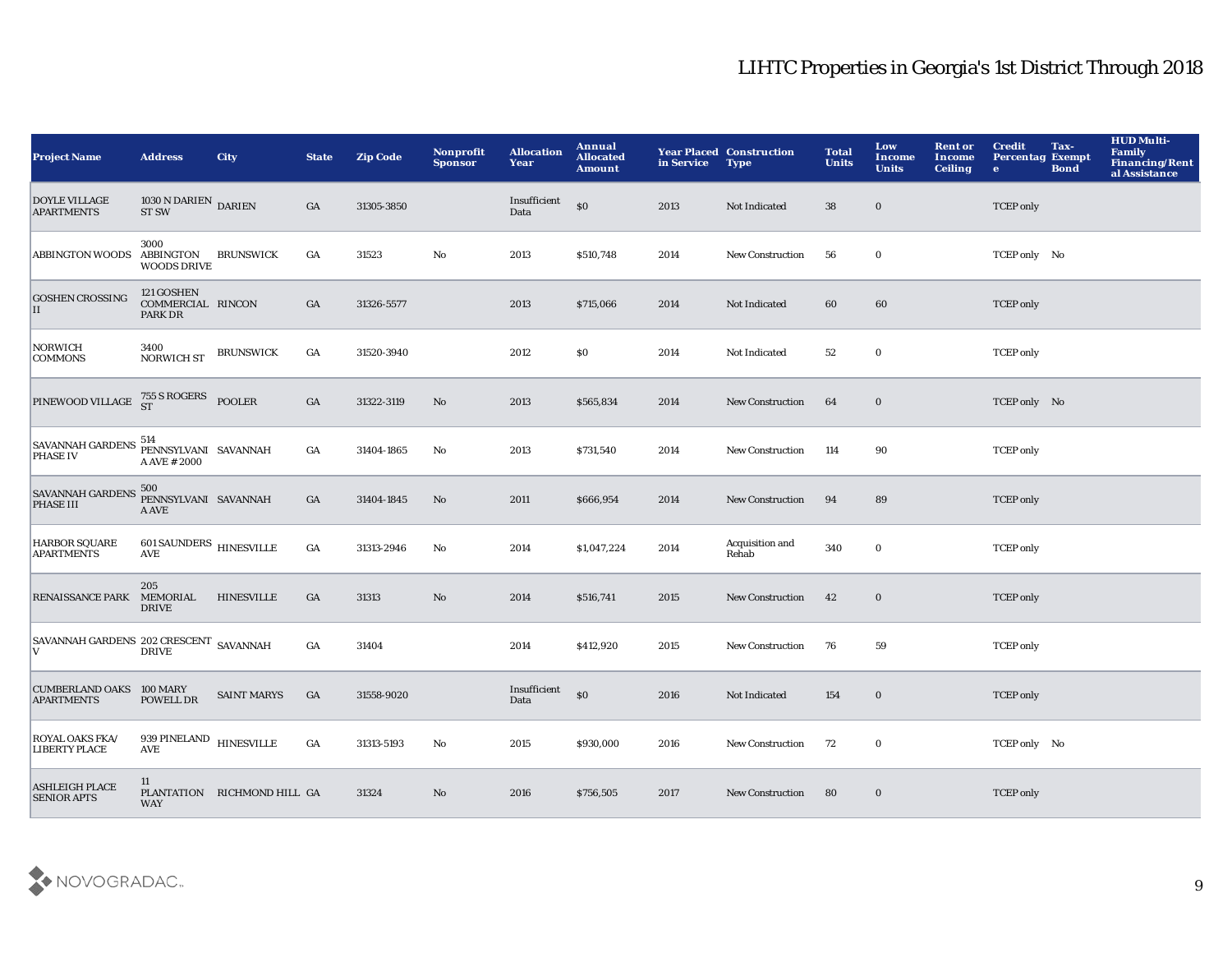| <b>Project Name</b>                                       | <b>Address</b>                                           | <b>City</b>                 | <b>State</b>     | <b>Zip Code</b> | Nonprofit<br><b>Sponsor</b> | <b>Allocation</b><br>Year | Annual<br><b>Allocated</b><br><b>Amount</b>      | in Service | <b>Year Placed Construction</b><br><b>Type</b> | <b>Total</b><br><b>Units</b> | Low<br><b>Income</b><br><b>Units</b> | <b>Rent or</b><br><b>Income</b><br><b>Ceiling</b> | <b>Credit</b><br><b>Percentag Exempt</b><br>$\bullet$ | Tax-<br><b>Bond</b> | <b>HUD Multi-</b><br><b>Family</b><br>Financing/Rent<br>al Assistance |
|-----------------------------------------------------------|----------------------------------------------------------|-----------------------------|------------------|-----------------|-----------------------------|---------------------------|--------------------------------------------------|------------|------------------------------------------------|------------------------------|--------------------------------------|---------------------------------------------------|-------------------------------------------------------|---------------------|-----------------------------------------------------------------------|
| <b>DOYLE VILLAGE</b><br><b>APARTMENTS</b>                 | $1030\,\mathrm{N}$ DARIEN DARIEN ST SW                   |                             | GA               | 31305-3850      |                             | Insufficient<br>Data      | \$0                                              | 2013       | Not Indicated                                  | 38                           | $\bf{0}$                             |                                                   | <b>TCEP</b> only                                      |                     |                                                                       |
| <b>ABBINGTON WOODS</b>                                    | 3000<br>ABBINGTON<br><b>WOODS DRIVE</b>                  | <b>BRUNSWICK</b>            | GA               | 31523           | $\mathbf {No}$              | 2013                      | \$510,748                                        | 2014       | New Construction                               | 56                           | $\mathbf 0$                          |                                                   | TCEP only No                                          |                     |                                                                       |
| <b>GOSHEN CROSSING</b><br>П                               | 121 GOSHEN<br>COMMERCIAL RINCON<br>PARK DR               |                             | GA               | 31326-5577      |                             | 2013                      | \$715,066                                        | 2014       | Not Indicated                                  | 60                           | 60                                   |                                                   | <b>TCEP</b> only                                      |                     |                                                                       |
| <b>NORWICH</b><br><b>COMMONS</b>                          | 3400<br><b>NORWICH ST</b>                                | <b>BRUNSWICK</b>            | GA               | 31520-3940      |                             | 2012                      | \$0                                              | 2014       | Not Indicated                                  | 52                           | $\bf{0}$                             |                                                   | <b>TCEP</b> only                                      |                     |                                                                       |
| PINEWOOD VILLAGE $^{755}_{ST}$ S ROGERS POOLER            |                                                          |                             | $_{\mathrm{GA}}$ | 31322-3119      | No                          | 2013                      | \$565,834                                        | 2014       | New Construction                               | 64                           | $\bf{0}$                             |                                                   | TCEP only No                                          |                     |                                                                       |
| SAVANNAH GARDENS 514                                      | PENNSYLVANI SAVANNAH<br>A AVE # 2000                     |                             | GA               | 31404-1865      | No                          | 2013                      | \$731,540                                        | 2014       | <b>New Construction</b>                        | 114                          | 90                                   |                                                   | <b>TCEP</b> only                                      |                     |                                                                       |
| SAVANNAH GARDENS 500<br>PENNSYLVANI SAVANNAH<br>PHASE III | A AVE                                                    |                             | $_{\mathrm{GA}}$ | 31404-1845      | No                          | 2011                      | \$666,954                                        | 2014       | New Construction                               | 94                           | 89                                   |                                                   | <b>TCEP</b> only                                      |                     |                                                                       |
| <b>HARBOR SQUARE</b><br><b>APARTMENTS</b>                 | 601 SAUNDERS HINESVILLE<br>$\operatorname{\mathbf{AVE}}$ |                             | $_{\mathrm{GA}}$ | 31313-2946      | No                          | 2014                      | \$1,047,224                                      | 2014       | Acquisition and<br>Rehab                       | 340                          | $\mathbf 0$                          |                                                   | <b>TCEP</b> only                                      |                     |                                                                       |
| RENAISSANCE PARK MEMORIAL                                 | 205<br><b>DRIVE</b>                                      | <b>HINESVILLE</b>           | $_{\mathrm{GA}}$ | 31313           | $\mathbf{N}\mathbf{o}$      | 2014                      | \$516,741                                        | 2015       | New Construction                               | 42                           | $\bf{0}$                             |                                                   | <b>TCEP</b> only                                      |                     |                                                                       |
| SAVANNAH GARDENS 202 CRESCENT SAVANNAH<br>V               | <b>DRIVE</b>                                             |                             | GA               | 31404           |                             | 2014                      | \$412,920                                        | 2015       | <b>New Construction</b>                        | 76                           | 59                                   |                                                   | <b>TCEP</b> only                                      |                     |                                                                       |
| <b>CUMBERLAND OAKS 100 MARY</b><br><b>APARTMENTS</b>      | POWELL DR                                                | <b>SAINT MARYS</b>          | GA               | 31558-9020      |                             | Insufficient<br>Data      | $\boldsymbol{\mathsf{S}}\boldsymbol{\mathsf{O}}$ | 2016       | Not Indicated                                  | 154                          | $\bf{0}$                             |                                                   | <b>TCEP</b> only                                      |                     |                                                                       |
| ROYAL OAKS FKA/<br><b>LIBERTY PLACE</b>                   | 939 PINELAND HINESVILLE<br><b>AVE</b>                    |                             | $_{\mathrm{GA}}$ | 31313-5193      | $\mathbf{N}\mathbf{o}$      | 2015                      | \$930,000                                        | 2016       | New Construction                               | 72                           | $\bf{0}$                             |                                                   | TCEP only No                                          |                     |                                                                       |
| <b>ASHLEIGH PLACE</b><br><b>SENIOR APTS</b>               | 11<br><b>WAY</b>                                         | PLANTATION RICHMOND HILL GA |                  | 31324           | $\mathbf{N}\mathbf{o}$      | 2016                      | \$756,505                                        | 2017       | <b>New Construction</b>                        | 80                           | $\bf{0}$                             |                                                   | <b>TCEP</b> only                                      |                     |                                                                       |